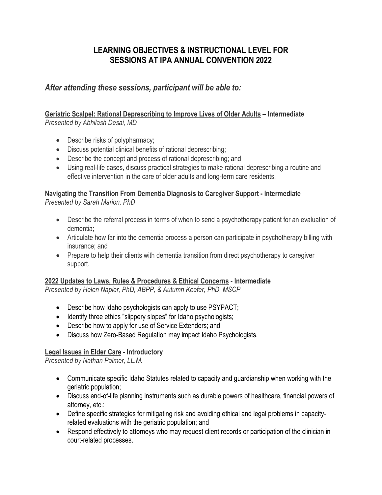# **LEARNING OBJECTIVES & INSTRUCTIONAL LEVEL FOR SESSIONS AT IPA ANNUAL CONVENTION 2022**

## *After attending these sessions, participant will be able to:*

#### **Geriatric Scalpel: Rational Deprescribing to Improve Lives of Older Adults – Intermediate**  *Presented by Abhilash Desai, MD*

- Describe risks of polypharmacy;
- Discuss potential clinical benefits of rational deprescribing;
- Describe the concept and process of rational deprescribing; and
- Using real-life cases, discuss practical strategies to make rational deprescribing a routine and effective intervention in the care of older adults and long-term care residents.

# **Navigating the Transition From Dementia Diagnosis to Caregiver Support - Intermediate**

*Presented by Sarah Marion, PhD*

- Describe the referral process in terms of when to send a psychotherapy patient for an evaluation of dementia;
- Articulate how far into the dementia process a person can participate in psychotherapy billing with insurance; and
- Prepare to help their clients with dementia transition from direct psychotherapy to caregiver support.

#### **2022 Updates to Laws, Rules & Procedures & Ethical Concerns - Intermediate**

*Presented by Helen Napier, PhD, ABPP, & Autumn Keefer, PhD, MSCP*

- Describe how Idaho psychologists can apply to use PSYPACT;
- Identify three ethics "slippery slopes" for Idaho psychologists;
- Describe how to apply for use of Service Extenders; and
- Discuss how Zero-Based Regulation may impact Idaho Psychologists.

### **Legal Issues in Elder Care - Introductory**

*Presented by Nathan Palmer, LL.M.*

- Communicate specific Idaho Statutes related to capacity and guardianship when working with the geriatric population;
- Discuss end-of-life planning instruments such as durable powers of healthcare, financial powers of attorney, etc.;
- Define specific strategies for mitigating risk and avoiding ethical and legal problems in capacityrelated evaluations with the geriatric population; and
- Respond effectively to attorneys who may request client records or participation of the clinician in court-related processes.